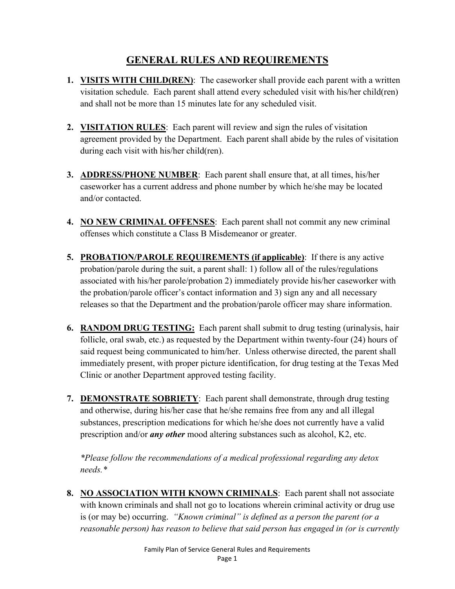#### **GENERAL RULES AND REQUIREMENTS**

- **1. VISITS WITH CHILD(REN)**: The caseworker shall provide each parent with a written visitation schedule. Each parent shall attend every scheduled visit with his/her child(ren) and shall not be more than 15 minutes late for any scheduled visit.
- **2. VISITATION RULES**: Each parent will review and sign the rules of visitation agreement provided by the Department. Each parent shall abide by the rules of visitation during each visit with his/her child(ren).
- **3. ADDRESS/PHONE NUMBER**: Each parent shall ensure that, at all times, his/her caseworker has a current address and phone number by which he/she may be located and/or contacted.
- **4. NO NEW CRIMINAL OFFENSES**: Each parent shall not commit any new criminal offenses which constitute a Class B Misdemeanor or greater.
- **5. PROBATION/PAROLE REQUIREMENTS (if applicable)**: If there is any active probation/parole during the suit, a parent shall: 1) follow all of the rules/regulations associated with his/her parole/probation 2) immediately provide his/her caseworker with the probation/parole officer's contact information and 3) sign any and all necessary releases so that the Department and the probation/parole officer may share information.
- **6. RANDOM DRUG TESTING:** Each parent shall submit to drug testing (urinalysis, hair follicle, oral swab, etc.) as requested by the Department within twenty-four (24) hours of said request being communicated to him/her. Unless otherwise directed, the parent shall immediately present, with proper picture identification, for drug testing at the Texas Med Clinic or another Department approved testing facility.
- **7. DEMONSTRATE SOBRIETY**: Each parent shall demonstrate, through drug testing and otherwise, during his/her case that he/she remains free from any and all illegal substances, prescription medications for which he/she does not currently have a valid prescription and/or *any other* mood altering substances such as alcohol, K2, etc.

*\*Please follow the recommendations of a medical professional regarding any detox needs.\**

**8. NO ASSOCIATION WITH KNOWN CRIMINALS**: Each parent shall not associate with known criminals and shall not go to locations wherein criminal activity or drug use is (or may be) occurring. *"Known criminal" is defined as a person the parent (or a reasonable person) has reason to believe that said person has engaged in (or is currently*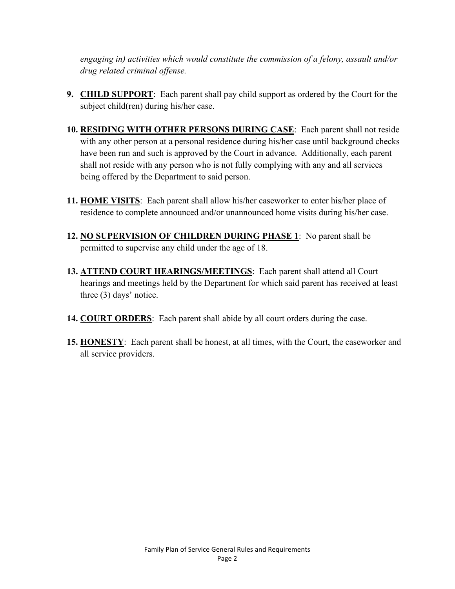*engaging in) activities which would constitute the commission of a felony, assault and/or drug related criminal offense.*

- **9. CHILD SUPPORT**: Each parent shall pay child support as ordered by the Court for the subject child(ren) during his/her case.
- **10. RESIDING WITH OTHER PERSONS DURING CASE**:Each parent shall not reside with any other person at a personal residence during his/her case until background checks have been run and such is approved by the Court in advance. Additionally, each parent shall not reside with any person who is not fully complying with any and all services being offered by the Department to said person.
- **11. HOME VISITS**: Each parent shall allow his/her caseworker to enter his/her place of residence to complete announced and/or unannounced home visits during his/her case.
- **12. NO SUPERVISION OF CHILDREN DURING PHASE 1**: No parent shall be permitted to supervise any child under the age of 18.
- **13. ATTEND COURT HEARINGS/MEETINGS**: Each parent shall attend all Court hearings and meetings held by the Department for which said parent has received at least three (3) days' notice.
- **14. COURT ORDERS**: Each parent shall abide by all court orders during the case.
- **15. HONESTY**: Each parent shall be honest, at all times, with the Court, the caseworker and all service providers.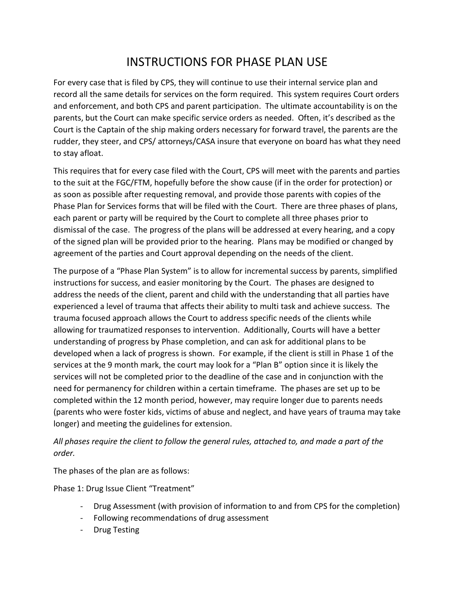# INSTRUCTIONS FOR PHASE PLAN USE

For every case that is filed by CPS, they will continue to use their internal service plan and record all the same details for services on the form required. This system requires Court orders and enforcement, and both CPS and parent participation. The ultimate accountability is on the parents, but the Court can make specific service orders as needed. Often, it's described as the Court is the Captain of the ship making orders necessary for forward travel, the parents are the rudder, they steer, and CPS/ attorneys/CASA insure that everyone on board has what they need to stay afloat.

This requires that for every case filed with the Court, CPS will meet with the parents and parties to the suit at the FGC/FTM, hopefully before the show cause (if in the order for protection) or as soon as possible after requesting removal, and provide those parents with copies of the Phase Plan for Services forms that will be filed with the Court. There are three phases of plans, each parent or party will be required by the Court to complete all three phases prior to dismissal of the case. The progress of the plans will be addressed at every hearing, and a copy of the signed plan will be provided prior to the hearing. Plans may be modified or changed by agreement of the parties and Court approval depending on the needs of the client.

The purpose of a "Phase Plan System" is to allow for incremental success by parents, simplified instructions for success, and easier monitoring by the Court. The phases are designed to address the needs of the client, parent and child with the understanding that all parties have experienced a level of trauma that affects their ability to multi task and achieve success. The trauma focused approach allows the Court to address specific needs of the clients while allowing for traumatized responses to intervention. Additionally, Courts will have a better understanding of progress by Phase completion, and can ask for additional plans to be developed when a lack of progress is shown. For example, if the client is still in Phase 1 of the services at the 9 month mark, the court may look for a "Plan B" option since it is likely the services will not be completed prior to the deadline of the case and in conjunction with the need for permanency for children within a certain timeframe. The phases are set up to be completed within the 12 month period, however, may require longer due to parents needs (parents who were foster kids, victims of abuse and neglect, and have years of trauma may take longer) and meeting the guidelines for extension.

*All phases require the client to follow the general rules, attached to, and made a part of the order.*

The phases of the plan are as follows:

Phase 1: Drug Issue Client "Treatment"

- Drug Assessment (with provision of information to and from CPS for the completion)
- Following recommendations of drug assessment
- Drug Testing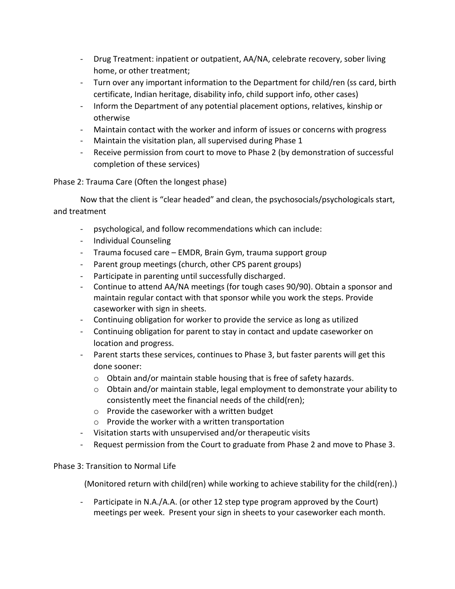- Drug Treatment: inpatient or outpatient, AA/NA, celebrate recovery, sober living home, or other treatment;
- Turn over any important information to the Department for child/ren (ss card, birth certificate, Indian heritage, disability info, child support info, other cases)
- Inform the Department of any potential placement options, relatives, kinship or otherwise
- Maintain contact with the worker and inform of issues or concerns with progress
- Maintain the visitation plan, all supervised during Phase 1
- Receive permission from court to move to Phase 2 (by demonstration of successful completion of these services)

Phase 2: Trauma Care (Often the longest phase)

Now that the client is "clear headed" and clean, the psychosocials/psychologicals start, and treatment

- psychological, and follow recommendations which can include:
- Individual Counseling
- Trauma focused care EMDR, Brain Gym, trauma support group
- Parent group meetings (church, other CPS parent groups)
- Participate in parenting until successfully discharged.
- Continue to attend AA/NA meetings (for tough cases 90/90). Obtain a sponsor and maintain regular contact with that sponsor while you work the steps. Provide caseworker with sign in sheets.
- Continuing obligation for worker to provide the service as long as utilized
- Continuing obligation for parent to stay in contact and update caseworker on location and progress.
- Parent starts these services, continues to Phase 3, but faster parents will get this done sooner:
	- $\circ$  Obtain and/or maintain stable housing that is free of safety hazards.
	- $\circ$  Obtain and/or maintain stable, legal employment to demonstrate your ability to consistently meet the financial needs of the child(ren);
	- o Provide the caseworker with a written budget
	- o Provide the worker with a written transportation
- Visitation starts with unsupervised and/or therapeutic visits
- Request permission from the Court to graduate from Phase 2 and move to Phase 3.

#### Phase 3: Transition to Normal Life

(Monitored return with child(ren) while working to achieve stability for the child(ren).)

- Participate in N.A./A.A. (or other 12 step type program approved by the Court) meetings per week. Present your sign in sheets to your caseworker each month.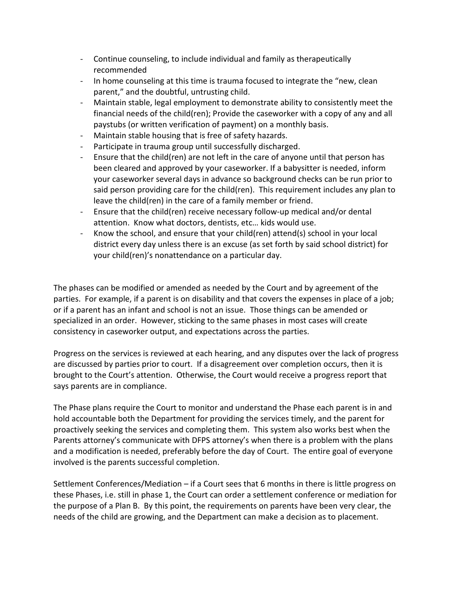- Continue counseling, to include individual and family as therapeutically recommended
- In home counseling at this time is trauma focused to integrate the "new, clean parent," and the doubtful, untrusting child.
- Maintain stable, legal employment to demonstrate ability to consistently meet the financial needs of the child(ren); Provide the caseworker with a copy of any and all paystubs (or written verification of payment) on a monthly basis.
- Maintain stable housing that is free of safety hazards.
- Participate in trauma group until successfully discharged.
- Ensure that the child(ren) are not left in the care of anyone until that person has been cleared and approved by your caseworker. If a babysitter is needed, inform your caseworker several days in advance so background checks can be run prior to said person providing care for the child(ren). This requirement includes any plan to leave the child(ren) in the care of a family member or friend.
- Ensure that the child(ren) receive necessary follow-up medical and/or dental attention. Know what doctors, dentists, etc… kids would use.
- Know the school, and ensure that your child(ren) attend(s) school in your local district every day unless there is an excuse (as set forth by said school district) for your child(ren)'s nonattendance on a particular day.

The phases can be modified or amended as needed by the Court and by agreement of the parties. For example, if a parent is on disability and that covers the expenses in place of a job; or if a parent has an infant and school is not an issue. Those things can be amended or specialized in an order. However, sticking to the same phases in most cases will create consistency in caseworker output, and expectations across the parties.

Progress on the services is reviewed at each hearing, and any disputes over the lack of progress are discussed by parties prior to court. If a disagreement over completion occurs, then it is brought to the Court's attention. Otherwise, the Court would receive a progress report that says parents are in compliance.

The Phase plans require the Court to monitor and understand the Phase each parent is in and hold accountable both the Department for providing the services timely, and the parent for proactively seeking the services and completing them. This system also works best when the Parents attorney's communicate with DFPS attorney's when there is a problem with the plans and a modification is needed, preferably before the day of Court. The entire goal of everyone involved is the parents successful completion.

Settlement Conferences/Mediation – if a Court sees that 6 months in there is little progress on these Phases, i.e. still in phase 1, the Court can order a settlement conference or mediation for the purpose of a Plan B. By this point, the requirements on parents have been very clear, the needs of the child are growing, and the Department can make a decision as to placement.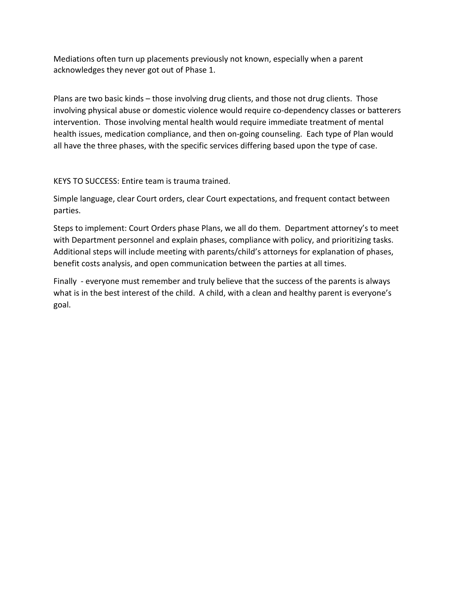Mediations often turn up placements previously not known, especially when a parent acknowledges they never got out of Phase 1.

Plans are two basic kinds – those involving drug clients, and those not drug clients. Those involving physical abuse or domestic violence would require co-dependency classes or batterers intervention. Those involving mental health would require immediate treatment of mental health issues, medication compliance, and then on-going counseling. Each type of Plan would all have the three phases, with the specific services differing based upon the type of case.

KEYS TO SUCCESS: Entire team is trauma trained.

Simple language, clear Court orders, clear Court expectations, and frequent contact between parties.

Steps to implement: Court Orders phase Plans, we all do them. Department attorney's to meet with Department personnel and explain phases, compliance with policy, and prioritizing tasks. Additional steps will include meeting with parents/child's attorneys for explanation of phases, benefit costs analysis, and open communication between the parties at all times.

Finally - everyone must remember and truly believe that the success of the parents is always what is in the best interest of the child. A child, with a clean and healthy parent is everyone's goal.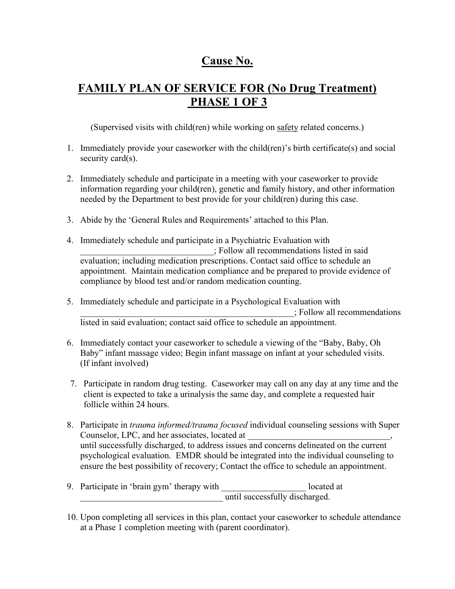# **Cause No.**

# **FAMILY PLAN OF SERVICE FOR (No Drug Treatment) PHASE 1 OF 3**

(Supervised visits with child(ren) while working on safety related concerns.)

- 1. Immediately provide your caseworker with the child(ren)'s birth certificate(s) and social security card(s).
- 2. Immediately schedule and participate in a meeting with your caseworker to provide information regarding your child(ren), genetic and family history, and other information needed by the Department to best provide for your child(ren) during this case.
- 3. Abide by the 'General Rules and Requirements' attached to this Plan.
- 4. Immediately schedule and participate in a Psychiatric Evaluation with \_\_\_\_\_\_\_\_\_\_\_\_\_\_\_\_\_\_\_\_\_\_\_\_\_\_\_\_\_\_; Follow all recommendations listed in said evaluation; including medication prescriptions. Contact said office to schedule an appointment. Maintain medication compliance and be prepared to provide evidence of compliance by blood test and/or random medication counting.
- 5. Immediately schedule and participate in a Psychological Evaluation with \_\_\_\_\_\_\_\_\_\_\_\_\_\_\_\_\_\_\_\_\_\_\_\_\_\_\_\_\_\_\_\_\_\_\_\_\_\_\_\_\_\_\_\_\_\_\_\_; Follow all recommendations listed in said evaluation; contact said office to schedule an appointment.
- 6. Immediately contact your caseworker to schedule a viewing of the "Baby, Baby, Oh Baby" infant massage video; Begin infant massage on infant at your scheduled visits. (If infant involved)
- 7. Participate in random drug testing. Caseworker may call on any day at any time and the client is expected to take a urinalysis the same day, and complete a requested hair follicle within 24 hours.
- 8. Participate in *trauma informed/trauma focused* individual counseling sessions with Super Counselor, LPC, and her associates, located at until successfully discharged, to address issues and concerns delineated on the current psychological evaluation. EMDR should be integrated into the individual counseling to ensure the best possibility of recovery; Contact the office to schedule an appointment.
- 9. Participate in 'brain gym' therapy with located at located<br>until successfully discharged.
- 10. Upon completing all services in this plan, contact your caseworker to schedule attendance at a Phase 1 completion meeting with (parent coordinator).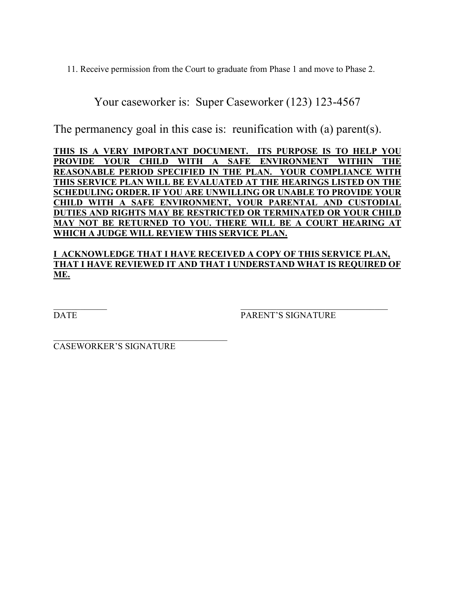11. Receive permission from the Court to graduate from Phase 1 and move to Phase 2.

Your caseworker is: Super Caseworker (123) 123-4567

The permanency goal in this case is: reunification with (a) parent(s).

**THIS IS A VERY IMPORTANT DOCUMENT. ITS PURPOSE IS TO HELP YOU PROVIDE YOUR CHILD WITH A SAFE ENVIRONMENT WITHIN THE REASONABLE PERIOD SPECIFIED IN THE PLAN. YOUR COMPLIANCE WITH THIS SERVICE PLAN WILL BE EVALUATED AT THE HEARINGS LISTED ON THE SCHEDULING ORDER. IF YOU ARE UNWILLING OR UNABLE TO PROVIDE YOUR CHILD WITH A SAFE ENVIRONMENT, YOUR PARENTAL AND CUSTODIAL DUTIES AND RIGHTS MAY BE RESTRICTED OR TERMINATED OR YOUR CHILD MAY NOT BE RETURNED TO YOU. THERE WILL BE A COURT HEARING AT WHICH A JUDGE WILL REVIEW THIS SERVICE PLAN.**

#### **I ACKNOWLEDGE THAT I HAVE RECEIVED A COPY OF THIS SERVICE PLAN, THAT I HAVE REVIEWED IT AND THAT I UNDERSTAND WHAT IS REQUIRED OF ME.**

 $\mathcal{L}_\mathcal{L}$  , and the contribution of the contribution of  $\mathcal{L}_\mathcal{L}$  , and the contribution of the contribution of the contribution of the contribution of the contribution of the contribution of the contribution of DATE PARENT'S SIGNATURE

CASEWORKER'S SIGNATURE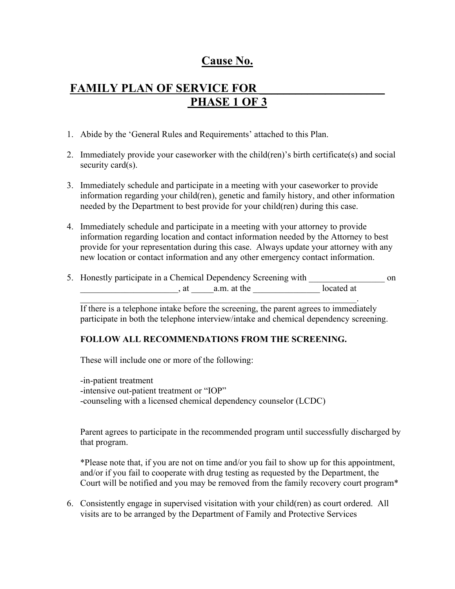### **Cause No.**

### FAMILY PLAN OF SERVICE FOR **PHASE 1 OF 3**

- 1. Abide by the 'General Rules and Requirements' attached to this Plan.
- 2. Immediately provide your caseworker with the child(ren)'s birth certificate(s) and social security card(s).
- 3. Immediately schedule and participate in a meeting with your caseworker to provide information regarding your child(ren), genetic and family history, and other information needed by the Department to best provide for your child(ren) during this case.
- 4. Immediately schedule and participate in a meeting with your attorney to provide information regarding location and contact information needed by the Attorney to best provide for your representation during this case. Always update your attorney with any new location or contact information and any other emergency contact information.

| 5. Honestly participate in a Chemical Dependency Screening with |            | on |
|-----------------------------------------------------------------|------------|----|
| a.m. at the                                                     | located at |    |
|                                                                 |            |    |

If there is a telephone intake before the screening, the parent agrees to immediately participate in both the telephone interview/intake and chemical dependency screening.

#### **FOLLOW ALL RECOMMENDATIONS FROM THE SCREENING.**

These will include one or more of the following:

-in-patient treatment -intensive out-patient treatment or "IOP" -counseling with a licensed chemical dependency counselor (LCDC)

Parent agrees to participate in the recommended program until successfully discharged by that program.

\*Please note that, if you are not on time and/or you fail to show up for this appointment, and/or if you fail to cooperate with drug testing as requested by the Department, the Court will be notified and you may be removed from the family recovery court program\*

6. Consistently engage in supervised visitation with your child(ren) as court ordered. All visits are to be arranged by the Department of Family and Protective Services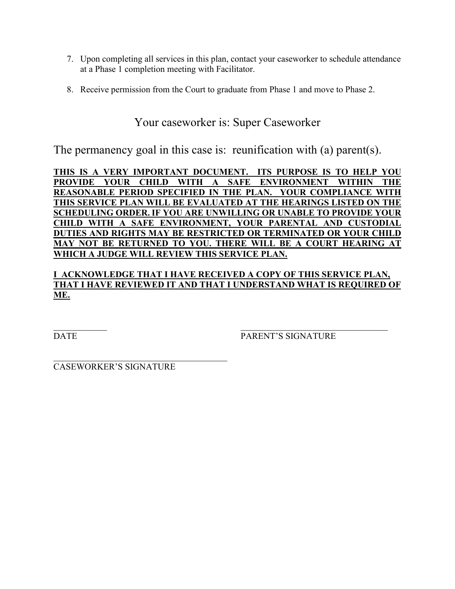- 7. Upon completing all services in this plan, contact your caseworker to schedule attendance at a Phase 1 completion meeting with Facilitator.
- 8. Receive permission from the Court to graduate from Phase 1 and move to Phase 2.

#### Your caseworker is: Super Caseworker

The permanency goal in this case is: reunification with (a) parent(s).

**THIS IS A VERY IMPORTANT DOCUMENT. ITS PURPOSE IS TO HELP YOU PROVIDE YOUR CHILD WITH A SAFE ENVIRONMENT WITHIN THE REASONABLE PERIOD SPECIFIED IN THE PLAN. YOUR COMPLIANCE WITH THIS SERVICE PLAN WILL BE EVALUATED AT THE HEARINGS LISTED ON THE SCHEDULING ORDER. IF YOU ARE UNWILLING OR UNABLE TO PROVIDE YOUR CHILD WITH A SAFE ENVIRONMENT, YOUR PARENTAL AND CUSTODIAL DUTIES AND RIGHTS MAY BE RESTRICTED OR TERMINATED OR YOUR CHILD MAY NOT BE RETURNED TO YOU. THERE WILL BE A COURT HEARING AT WHICH A JUDGE WILL REVIEW THIS SERVICE PLAN.**

**I ACKNOWLEDGE THAT I HAVE RECEIVED A COPY OF THIS SERVICE PLAN, THAT I HAVE REVIEWED IT AND THAT I UNDERSTAND WHAT IS REQUIRED OF ME.**

 $\mathcal{L}_\text{max}$  , and the contract of the contract of the contract of the contract of the contract of the contract of DATE PARENT'S SIGNATURE

CASEWORKER'S SIGNATURE

\_\_\_\_\_\_\_\_\_\_\_\_\_\_\_\_\_\_\_\_\_\_\_\_\_\_\_\_\_\_\_\_\_\_\_\_\_\_\_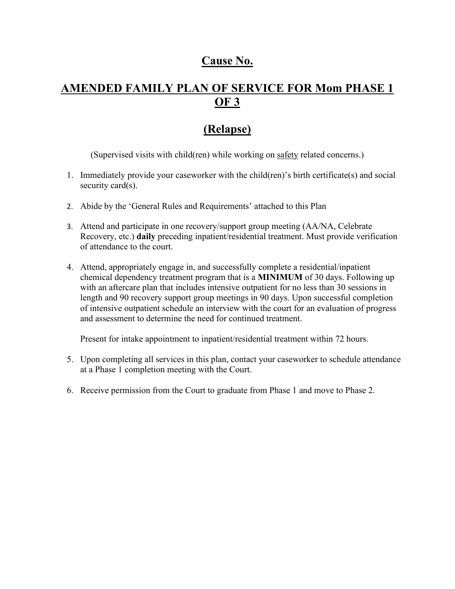### **Cause No.**

## **AMENDED FAMILY PLAN OF SERVICE FOR Mom PHASE 1 OF 3**

## **(Relapse)**

(Supervised visits with child(ren) while working on safety related concerns.)

- 1. Immediately provide your caseworker with the child(ren)'s birth certificate(s) and social security card(s).
- 2. Abide by the 'General Rules and Requirements' attached to this Plan
- 3. Attend and participate in one recovery/support group meeting (AA/NA, Celebrate Recovery, etc.) **daily** preceding inpatient/residential treatment. Must provide verification of attendance to the court.
- 4. Attend, appropriately engage in, and successfully complete a residential/inpatient chemical dependency treatment program that is a **MINIMUM** of 30 days. Following up with an aftercare plan that includes intensive outpatient for no less than 30 sessions in length and 90 recovery support group meetings in 90 days. Upon successful completion of intensive outpatient schedule an interview with the court for an evaluation of progress and assessment to determine the need for continued treatment.

Present for intake appointment to inpatient/residential treatment within 72 hours.

- 5. Upon completing all services in this plan, contact your caseworker to schedule attendance at a Phase 1 completion meeting with the Court.
- 6. Receive permission from the Court to graduate from Phase 1 and move to Phase 2.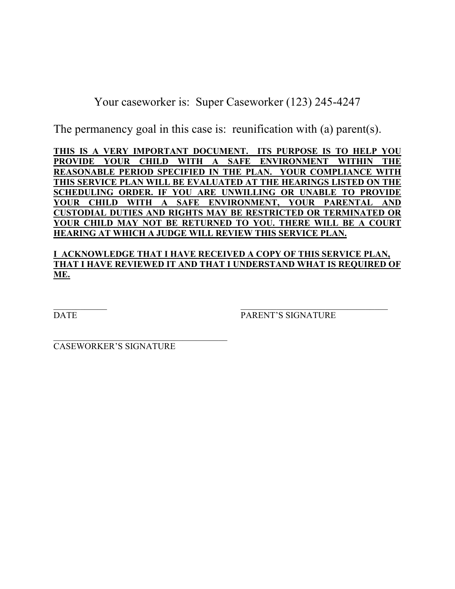Your caseworker is: Super Caseworker (123) 245-4247

The permanency goal in this case is: reunification with (a) parent(s).

**THIS IS A VERY IMPORTANT DOCUMENT. ITS PURPOSE IS TO HELP YOU PROVIDE YOUR CHILD WITH A SAFE ENVIRONMENT WITHIN THE REASONABLE PERIOD SPECIFIED IN THE PLAN. YOUR COMPLIANCE WITH THIS SERVICE PLAN WILL BE EVALUATED AT THE HEARINGS LISTED ON THE SCHEDULING ORDER. IF YOU ARE UNWILLING OR UNABLE TO PROVIDE YOUR CHILD WITH A SAFE ENVIRONMENT, YOUR PARENTAL AND CUSTODIAL DUTIES AND RIGHTS MAY BE RESTRICTED OR TERMINATED OR YOUR CHILD MAY NOT BE RETURNED TO YOU. THERE WILL BE A COURT HEARING AT WHICH A JUDGE WILL REVIEW THIS SERVICE PLAN.**

#### **I ACKNOWLEDGE THAT I HAVE RECEIVED A COPY OF THIS SERVICE PLAN, THAT I HAVE REVIEWED IT AND THAT I UNDERSTAND WHAT IS REQUIRED OF ME.**

 $\mathcal{L}_\mathcal{L}$  , and the contribution of the contribution of  $\mathcal{L}_\mathcal{L}$  , and the contribution of the contribution of the contribution of the contribution of the contribution of the contribution of the contribution of DATE PARENT'S SIGNATURE

CASEWORKER'S SIGNATURE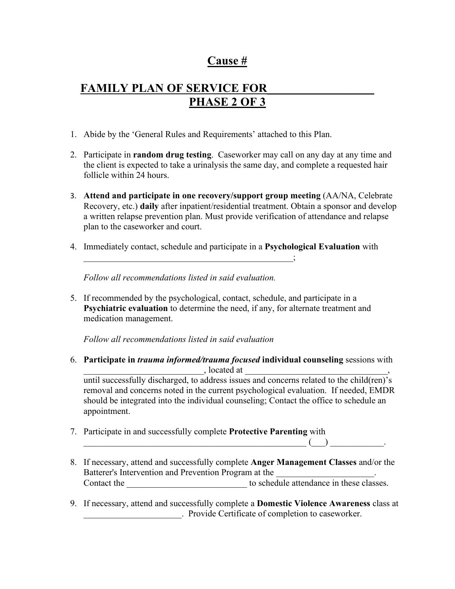### **Cause #**

# **FAMILY PLAN OF SERVICE FOR PHASE 2 OF 3**

- 1. Abide by the 'General Rules and Requirements' attached to this Plan.
- 2. Participate in **random drug testing**. Caseworker may call on any day at any time and the client is expected to take a urinalysis the same day, and complete a requested hair follicle within 24 hours.
- 3. **Attend and participate in one recovery/support group meeting** (AA/NA, Celebrate Recovery, etc.) **daily** after inpatient/residential treatment. Obtain a sponsor and develop a written relapse prevention plan. Must provide verification of attendance and relapse plan to the caseworker and court.
- 4. Immediately contact, schedule and participate in a **Psychological Evaluation** with

 $\ddot{\hspace{1.1cm}}$ 

*Follow all recommendations listed in said evaluation.*

5. If recommended by the psychological, contact, schedule, and participate in a **Psychiatric evaluation** to determine the need, if any, for alternate treatment and medication management.

*Follow all recommendations listed in said evaluation*

6. **Participate in** *trauma informed/trauma focused* **individual counseling** sessions with  $\Box$  located at

until successfully discharged, to address issues and concerns related to the child(ren)'s removal and concerns noted in the current psychological evaluation. If needed, EMDR should be integrated into the individual counseling; Contact the office to schedule an appointment.

7. Participate in and successfully complete **Protective Parenting** with

 $\qquad \qquad (\qquad ) \qquad \qquad .$ 

- 8. If necessary, attend and successfully complete **Anger Management Classes** and/or the Batterer's Intervention and Prevention Program at the \_\_\_\_\_\_\_\_\_\_\_\_\_\_\_\_\_\_\_\_\_\_\_\_\_\_ Contact the \_\_\_\_\_\_\_\_\_\_\_\_\_\_\_\_\_\_\_\_\_\_\_\_\_\_\_ to schedule attendance in these classes.
- 9. If necessary, attend and successfully complete a **Domestic Violence Awareness** class at \_\_\_\_\_\_\_\_\_\_\_\_\_\_\_\_\_\_\_\_\_\_. Provide Certificate of completion to caseworker.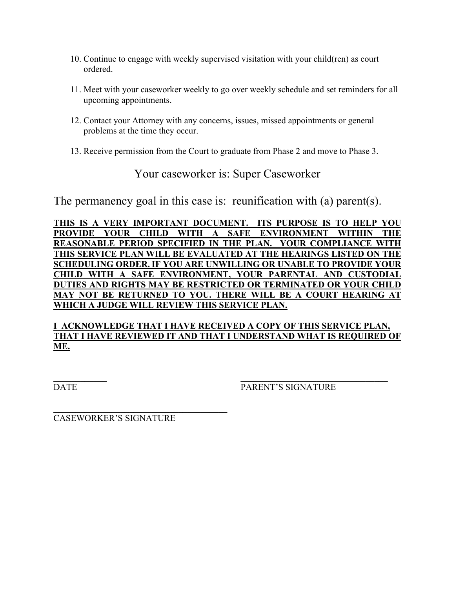- 10. Continue to engage with weekly supervised visitation with your child(ren) as court ordered.
- 11. Meet with your caseworker weekly to go over weekly schedule and set reminders for all upcoming appointments.
- 12. Contact your Attorney with any concerns, issues, missed appointments or general problems at the time they occur.
- 13. Receive permission from the Court to graduate from Phase 2 and move to Phase 3.

Your caseworker is: Super Caseworker

The permanency goal in this case is: reunification with (a) parent(s).

**THIS IS A VERY IMPORTANT DOCUMENT. ITS PURPOSE IS TO HELP YOU PROVIDE YOUR CHILD WITH A SAFE ENVIRONMENT WITHIN THE REASONABLE PERIOD SPECIFIED IN THE PLAN. YOUR COMPLIANCE WITH THIS SERVICE PLAN WILL BE EVALUATED AT THE HEARINGS LISTED ON THE SCHEDULING ORDER. IF YOU ARE UNWILLING OR UNABLE TO PROVIDE YOUR CHILD WITH A SAFE ENVIRONMENT, YOUR PARENTAL AND CUSTODIAL DUTIES AND RIGHTS MAY BE RESTRICTED OR TERMINATED OR YOUR CHILD MAY NOT BE RETURNED TO YOU. THERE WILL BE A COURT HEARING AT WHICH A JUDGE WILL REVIEW THIS SERVICE PLAN.**

#### **I ACKNOWLEDGE THAT I HAVE RECEIVED A COPY OF THIS SERVICE PLAN, THAT I HAVE REVIEWED IT AND THAT I UNDERSTAND WHAT IS REQUIRED OF ME.**

 $\mathcal{L}_\text{max}$  , and the contract of the contract of the contract of the contract of the contract of the contract of

DATE PARENT'S SIGNATURE

\_\_\_\_\_\_\_\_\_\_\_\_\_\_\_\_\_\_\_\_\_\_\_\_\_\_\_\_\_\_\_\_\_\_\_\_\_\_\_ CASEWORKER'S SIGNATURE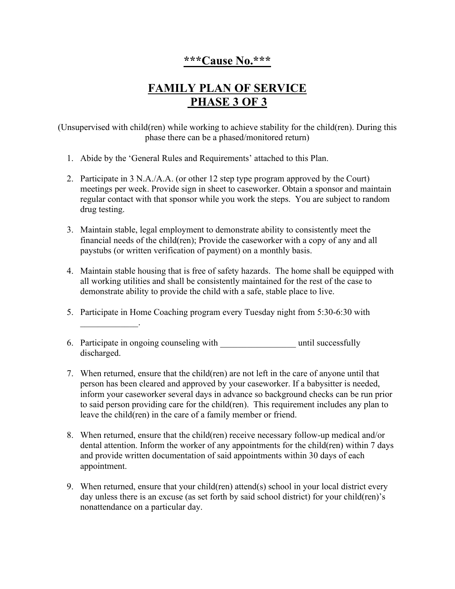### **\*\*\*Cause No.\*\*\***

# **FAMILY PLAN OF SERVICE PHASE 3 OF 3**

(Unsupervised with child(ren) while working to achieve stability for the child(ren). During this phase there can be a phased/monitored return)

- 1. Abide by the 'General Rules and Requirements' attached to this Plan.
- 2. Participate in 3 N.A./A.A. (or other 12 step type program approved by the Court) meetings per week. Provide sign in sheet to caseworker. Obtain a sponsor and maintain regular contact with that sponsor while you work the steps. You are subject to random drug testing.
- 3. Maintain stable, legal employment to demonstrate ability to consistently meet the financial needs of the child(ren); Provide the caseworker with a copy of any and all paystubs (or written verification of payment) on a monthly basis.
- 4. Maintain stable housing that is free of safety hazards. The home shall be equipped with all working utilities and shall be consistently maintained for the rest of the case to demonstrate ability to provide the child with a safe, stable place to live.
- 5. Participate in Home Coaching program every Tuesday night from 5:30-6:30 with
- 6. Participate in ongoing counseling with until successfully discharged.

 $\overline{\phantom{a}}$ 

- 7. When returned, ensure that the child(ren) are not left in the care of anyone until that person has been cleared and approved by your caseworker. If a babysitter is needed, inform your caseworker several days in advance so background checks can be run prior to said person providing care for the child(ren). This requirement includes any plan to leave the child(ren) in the care of a family member or friend.
- 8. When returned, ensure that the child(ren) receive necessary follow-up medical and/or dental attention. Inform the worker of any appointments for the child(ren) within 7 days and provide written documentation of said appointments within 30 days of each appointment.
- 9. When returned, ensure that your child(ren) attend(s) school in your local district every day unless there is an excuse (as set forth by said school district) for your child(ren)'s nonattendance on a particular day.